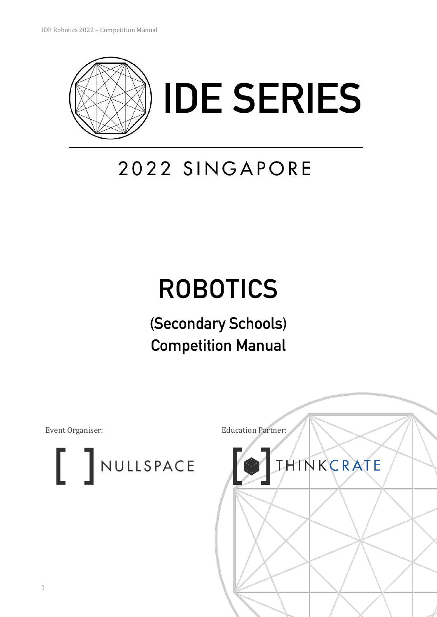

# 2022 SINGAPORE

# **ROBOTICS**

## (Secondary Schools) **Competition Manual**

NULLSPACE

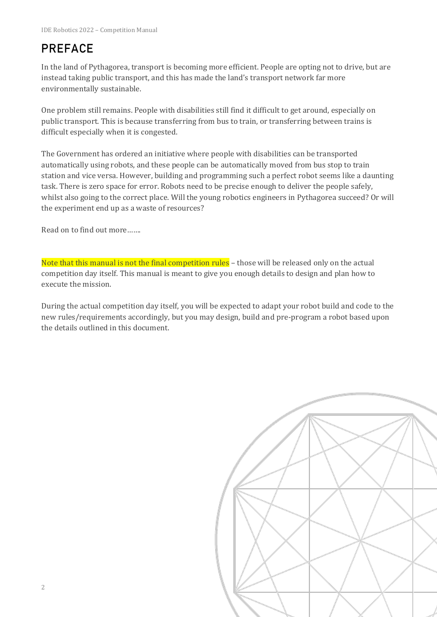## **PREFACE**

In the land of Pythagorea, transport is becoming more efficient. People are opting not to drive, but are instead taking public transport, and this has made the land's transport network far more environmentally sustainable.

One problem still remains. People with disabilities still find it difficult to get around, especially on public transport. This is because transferring from bus to train, or transferring between trains is difficult especially when it is congested.

The Government has ordered an initiative where people with disabilities can be transported automatically using robots, and these people can be automatically moved from bus stop to train station and vice versa. However, building and programming such a perfect robot seems like a daunting task. There is zero space for error. Robots need to be precise enough to deliver the people safely, whilst also going to the correct place. Will the young robotics engineers in Pythagorea succeed? Or will the experiment end up as a waste of resources?

Read on to find out more…….

Note that this manual is not the final competition rules - those will be released only on the actual competition day itself. This manual is meant to give you enough details to design and plan how to execute the mission.

During the actual competition day itself, you will be expected to adapt your robot build and code to the new rules/requirements accordingly, but you may design, build and pre-program a robot based upon the details outlined in this document.

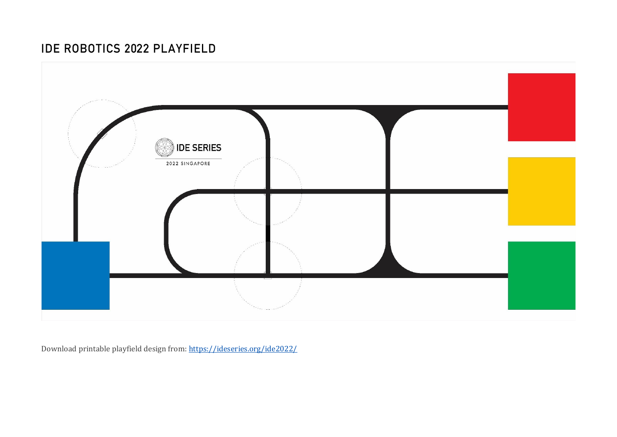### **IDE ROBOTICS 2022 PLAYFIELD**



Download printable playfield design from[: https://ideseries.org/ide2022/](https://ideseries.org/ide2022/)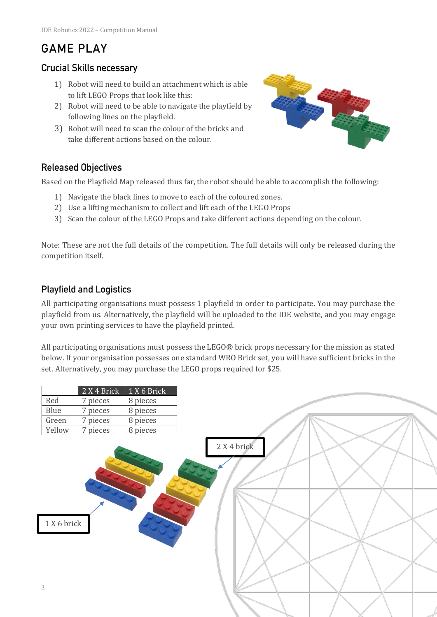## **GAME PLAY**

#### **Crucial Skills necessary**

- 1) Robot will need to build an attachment which is able to lift LEGO Props that look like this:
- 2) Robot will need to be able to navigate the playfield by following lines on the playfield.
- 3) Robot will need to scan the colour of the bricks and take different actions based on the colour.



#### **Released Objectives**

Based on the Playfield Map released thus far, the robot should be able to accomplish the following:

- 1) Navigate the black lines to move to each of the coloured zones.
- 2) Use a lifting mechanism to collect and lift each of the LEGO Props
- 3) Scan the colour of the LEGO Props and take different actions depending on the colour.

Note: These are not the full details of the competition. The full details will only be released during the competition itself.

#### **Playfield and Logistics**

All participating organisations must possess 1 playfield in order to participate. You may purchase the playfield from us. Alternatively, the playfield will be uploaded to the IDE website, and you may engage your own printing services to have the playfield printed.

All participating organisations must possess the LEGO® brick props necessary for the mission as stated below. If your organisation possesses one standard WRO Brick set, you will have sufficient bricks in the set. Alternatively, you may purchase the LEGO props required for \$25.

|                | 2 X 4 Brick | 1 X 6 Brick |             |  |
|----------------|-------------|-------------|-------------|--|
| Red            | 7 pieces    | 8 pieces    |             |  |
| Blue           | 7 pieces    | 8 pieces    |             |  |
| Green          | 7 pieces    | 8 pieces    |             |  |
| Yellow         | 7 pieces    | 8 pieces    |             |  |
|                |             |             | 2 X 4 brick |  |
| 1 X 6 brick    |             |             |             |  |
| $\mathfrak{Z}$ |             |             |             |  |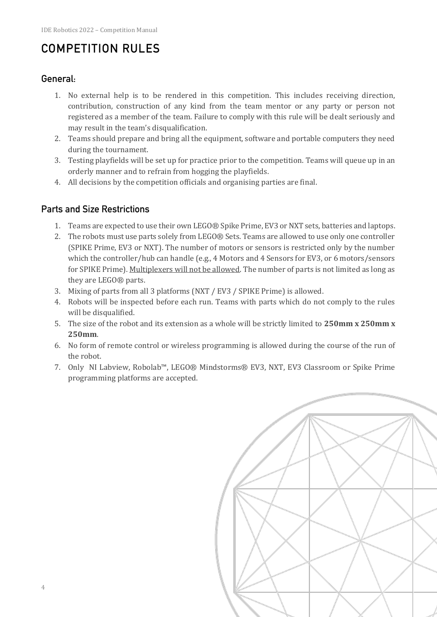## **COMPETITION RULES**

#### General:

- 1. No external help is to be rendered in this competition. This includes receiving direction, contribution, construction of any kind from the team mentor or any party or person not registered as a member of the team. Failure to comply with this rule will be dealt seriously and may result in the team's disqualification.
- 2. Teams should prepare and bring all the equipment, software and portable computers they need during the tournament.
- 3. Testing playfields will be set up for practice prior to the competition. Teams will queue up in an orderly manner and to refrain from hogging the playfields.
- 4. All decisions by the competition officials and organising parties are final.

#### **Parts and Size Restrictions**

- 1. Teams are expected to use their own LEGO® Spike Prime, EV3 or NXT sets, batteries and laptops.
- 2. The robots must use parts solely from LEGO® Sets. Teams are allowed to use only one controller (SPIKE Prime, EV3 or NXT). The number of motors or sensors is restricted only by the number which the controller/hub can handle (e.g., 4 Motors and 4 Sensors for EV3, or 6 motors/sensors for SPIKE Prime). Multiplexers will not be allowed. The number of parts is not limited as long as they are LEGO® parts.
- 3. Mixing of parts from all 3 platforms (NXT / EV3 / SPIKE Prime) is allowed.
- 4. Robots will be inspected before each run. Teams with parts which do not comply to the rules will be disqualified.
- 5. The size of the robot and its extension as a whole will be strictly limited to **250mm x 250mm x 250mm**.
- 6. No form of remote control or wireless programming is allowed during the course of the run of the robot.
- 7. Only NI Labview, Robolab™, LEGO® Mindstorms® EV3, NXT, EV3 Classroom or Spike Prime programming platforms are accepted.